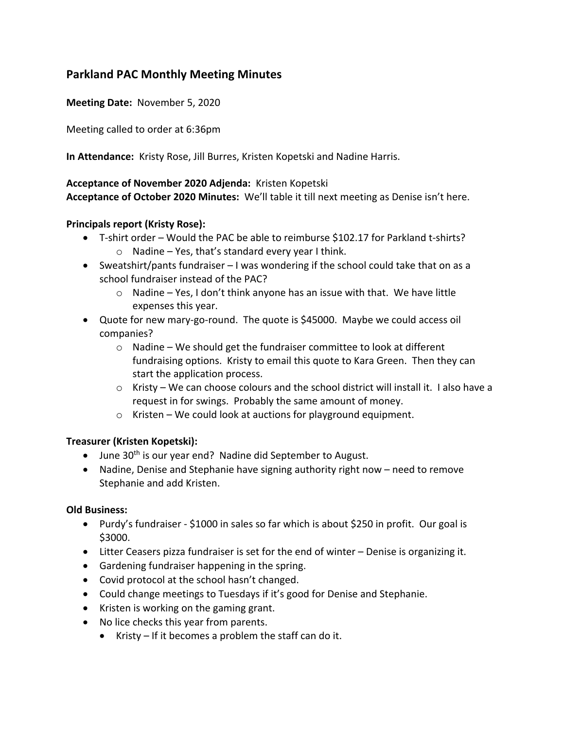# **Parkland PAC Monthly Meeting Minutes**

**Meeting Date:** November 5, 2020

Meeting called to order at 6:36pm

**In Attendance:** Kristy Rose, Jill Burres, Kristen Kopetski and Nadine Harris.

#### **Acceptance of November 2020 Adjenda:** Kristen Kopetski

**Acceptance of October 2020 Minutes:** We'll table it till next meeting as Denise isn't here.

#### **Principals report (Kristy Rose):**

- T-shirt order Would the PAC be able to reimburse \$102.17 for Parkland t-shirts?  $\circ$  Nadine – Yes, that's standard every year I think.
- Sweatshirt/pants fundraiser I was wondering if the school could take that on as a school fundraiser instead of the PAC?
	- $\circ$  Nadine Yes, I don't think anyone has an issue with that. We have little expenses this year.
- Quote for new mary-go-round. The quote is \$45000. Maybe we could access oil companies?
	- $\circ$  Nadine We should get the fundraiser committee to look at different fundraising options. Kristy to email this quote to Kara Green. Then they can start the application process.
	- o Kristy We can choose colours and the school district will install it. I also have a request in for swings. Probably the same amount of money.
	- o Kristen We could look at auctions for playground equipment.

### **Treasurer (Kristen Kopetski):**

- June 30<sup>th</sup> is our year end? Nadine did September to August.
- Nadine, Denise and Stephanie have signing authority right now need to remove Stephanie and add Kristen.

#### **Old Business:**

- Purdy's fundraiser \$1000 in sales so far which is about \$250 in profit. Our goal is \$3000.
- Litter Ceasers pizza fundraiser is set for the end of winter Denise is organizing it.
- Gardening fundraiser happening in the spring.
- Covid protocol at the school hasn't changed.
- Could change meetings to Tuesdays if it's good for Denise and Stephanie.
- Kristen is working on the gaming grant.
- No lice checks this year from parents.
	- Kristy If it becomes a problem the staff can do it.